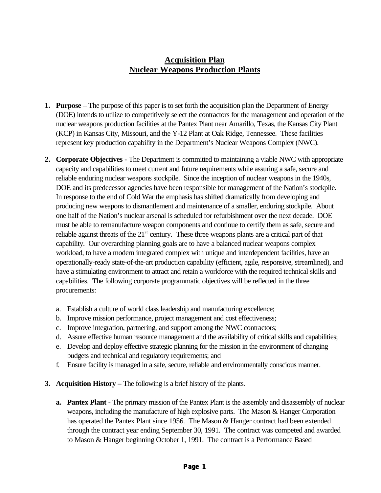# **Acquisition Plan Nuclear Weapons Production Plants**

- **1. Purpose**  The purpose of this paper is to set forth the acquisition plan the Department of Energy (DOE) intends to utilize to competitively select the contractors for the management and operation of the nuclear weapons production facilities at the Pantex Plant near Amarillo, Texas, the Kansas City Plant (KCP) in Kansas City, Missouri, and the Y-12 Plant at Oak Ridge, Tennessee. These facilities represent key production capability in the Department's Nuclear Weapons Complex (NWC).
- **2. Corporate Objectives** The Department is committed to maintaining a viable NWC with appropriate capacity and capabilities to meet current and future requirements while assuring a safe, secure and reliable enduring nuclear weapons stockpile. Since the inception of nuclear weapons in the 1940s, DOE and its predecessor agencies have been responsible for management of the Nation's stockpile. In response to the end of Cold War the emphasis has shifted dramatically from developing and producing new weapons to dismantlement and maintenance of a smaller, enduring stockpile. About one half of the Nation's nuclear arsenal is scheduled for refurbishment over the next decade. DOE must be able to remanufacture weapon components and continue to certify them as safe, secure and reliable against threats of the  $21<sup>st</sup>$  century. These three weapons plants are a critical part of that capability. Our overarching planning goals are to have a balanced nuclear weapons complex workload, to have a modern integrated complex with unique and interdependent facilities, have an operationally-ready state-of-the-art production capability (efficient, agile, responsive, streamlined), and have a stimulating environment to attract and retain a workforce with the required technical skills and capabilities. The following corporate programmatic objectives will be reflected in the three procurements:
	- a. Establish a culture of world class leadership and manufacturing excellence;
	- b. Improve mission performance, project management and cost effectiveness;
	- c. Improve integration, partnering, and support among the NWC contractors;
	- d. Assure effective human resource management and the availability of critical skills and capabilities;
	- e. Develop and deploy effective strategic planning for the mission in the environment of changing budgets and technical and regulatory requirements; and
	- f. Ensure facility is managed in a safe, secure, reliable and environmentally conscious manner.
- **3. Acquisition History** The following is a brief history of the plants.
	- **a. Pantex Plant** The primary mission of the Pantex Plant is the assembly and disassembly of nuclear weapons, including the manufacture of high explosive parts. The Mason & Hanger Corporation has operated the Pantex Plant since 1956. The Mason & Hanger contract had been extended through the contract year ending September 30, 1991. The contract was competed and awarded to Mason & Hanger beginning October 1, 1991. The contract is a Performance Based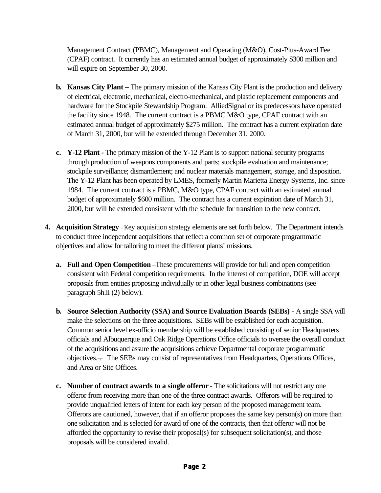Management Contract (PBMC), Management and Operating (M&O), Cost-Plus-Award Fee (CPAF) contract. It currently has an estimated annual budget of approximately \$300 million and will expire on September 30, 2000.

- **b. Kansas City Plant** The primary mission of the Kansas City Plant is the production and delivery of electrical, electronic, mechanical, electro-mechanical, and plastic replacement components and hardware for the Stockpile Stewardship Program. AlliedSignal or its predecessors have operated the facility since 1948. The current contract is a PBMC M&O type, CPAF contract with an estimated annual budget of approximately \$275 million. The contract has a current expiration date of March 31, 2000, but will be extended through December 31, 2000.
- **c. Y-12 Plant -** The primary mission of the Y-12 Plant is to support national security programs through production of weapons components and parts; stockpile evaluation and maintenance; stockpile surveillance; dismantlement; and nuclear materials management, storage, and disposition. The Y-12 Plant has been operated by LMES, formerly Martin Marietta Energy Systems, Inc. since 1984. The current contract is a PBMC, M&O type, CPAF contract with an estimated annual budget of approximately \$600 million. The contract has a current expiration date of March 31, 2000, but will be extended consistent with the schedule for transition to the new contract.
- **4. Acquisition Strategy**  Key acquisition strategy elements are set forth below. The Department intends to conduct three independent acquisitions that reflect a common set of corporate programmatic objectives and allow for tailoring to meet the different plants' missions.
	- **a. Full and Open Competition** –These procurements will provide for full and open competition consistent with Federal competition requirements. In the interest of competition, DOE will accept proposals from entities proposing individually or in other legal business combinations (see paragraph 5h.ii (2) below).
	- **b. Source Selection Authority (SSA) and Source Evaluation Boards (SEBs) -** A single SSA will make the selections on the three acquisitions. SEBs will be established for each acquisition. Common senior level ex-officio membership will be established consisting of senior Headquarters officials and Albuquerque and Oak Ridge Operations Office officials to oversee the overall conduct of the acquisitions and assure the acquisitions achieve Departmental corporate programmatic objectives. The SEBs may consist of representatives from Headquarters, Operations Offices, and Area or Site Offices.
	- **c. Number of contract awards to a single offeror** The solicitations will not restrict any one offeror from receiving more than one of the three contract awards. Offerors will be required to provide unqualified letters of intent for each key person of the proposed management team. Offerors are cautioned, however, that if an offeror proposes the same key person(s) on more than one solicitation and is selected for award of one of the contracts, then that offeror will not be afforded the opportunity to revise their proposal(s) for subsequent solicitation(s), and those proposals will be considered invalid.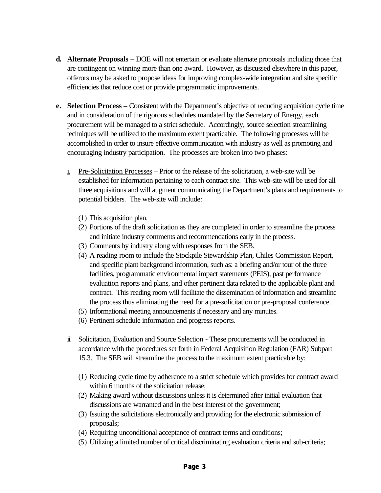- **d. Alternate Proposals** DOE will not entertain or evaluate alternate proposals including those that are contingent on winning more than one award. However, as discussed elsewhere in this paper, offerors may be asked to propose ideas for improving complex-wide integration and site specific efficiencies that reduce cost or provide programmatic improvements.
- **e. Selection Process** Consistent with the Department's objective of reducing acquisition cycle time and in consideration of the rigorous schedules mandated by the Secretary of Energy, each procurement will be managed to a strict schedule. Accordingly, source selection streamlining techniques will be utilized to the maximum extent practicable. The following processes will be accomplished in order to insure effective communication with industry as well as promoting and encouraging industry participation. The processes are broken into two phases:
	- i. Pre-Solicitation Processes Prior to the release of the solicitation, a web-site will be established for information pertaining to each contract site. This web-site will be used for all three acquisitions and will augment communicating the Department's plans and requirements to potential bidders. The web-site will include:
		- (1) This acquisition plan.
		- (2) Portions of the draft solicitation as they are completed in order to streamline the process and initiate industry comments and recommendations early in the process.
		- (3) Comments by industry along with responses from the SEB.
		- (4) A reading room to include the Stockpile Stewardship Plan, Chiles Commission Report, and specific plant background information, such as: a briefing and/or tour of the three facilities, programmatic environmental impact statements (PEIS), past performance evaluation reports and plans, and other pertinent data related to the applicable plant and contract. This reading room will facilitate the dissemination of information and streamline the process thus eliminating the need for a pre-solicitation or pre-proposal conference.
		- (5) Informational meeting announcements if necessary and any minutes.
		- (6) Pertinent schedule information and progress reports.
	- ii. Solicitation, Evaluation and Source Selection These procurements will be conducted in accordance with the procedures set forth in Federal Acquisition Regulation (FAR) Subpart 15.3. The SEB will streamline the process to the maximum extent practicable by:
		- (1) Reducing cycle time by adherence to a strict schedule which provides for contract award within 6 months of the solicitation release;
		- (2) Making award without discussions unless it is determined after initial evaluation that discussions are warranted and in the best interest of the government;
		- (3) Issuing the solicitations electronically and providing for the electronic submission of proposals;
		- (4) Requiring unconditional acceptance of contract terms and conditions;
		- (5) Utilizing a limited number of critical discriminating evaluation criteria and sub-criteria;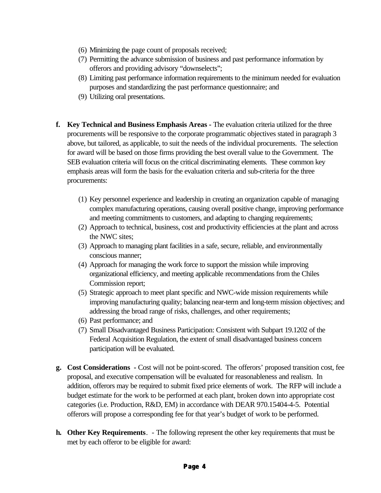- (6) Minimizing the page count of proposals received;
- (7) Permitting the advance submission of business and past performance information by offerors and providing advisory "downselects";
- (8) Limiting past performance information requirements to the minimum needed for evaluation purposes and standardizing the past performance questionnaire; and
- (9) Utilizing oral presentations.
- **f. Key Technical and Business Emphasis Areas** The evaluation criteria utilized for the three procurements will be responsive to the corporate programmatic objectives stated in paragraph 3 above, but tailored, as applicable, to suit the needs of the individual procurements. The selection for award will be based on those firms providing the best overall value to the Government. The SEB evaluation criteria will focus on the critical discriminating elements. These common key emphasis areas will form the basis for the evaluation criteria and sub-criteria for the three procurements:
	- (1) Key personnel experience and leadership in creating an organization capable of managing complex manufacturing operations, causing overall positive change, improving performance and meeting commitments to customers, and adapting to changing requirements;
	- (2) Approach to technical, business, cost and productivity efficiencies at the plant and across the NWC sites;
	- (3) Approach to managing plant facilities in a safe, secure, reliable, and environmentally conscious manner;
	- (4) Approach for managing the work force to support the mission while improving organizational efficiency, and meeting applicable recommendations from the Chiles Commission report;
	- (5) Strategic approach to meet plant specific and NWC-wide mission requirements while improving manufacturing quality; balancing near-term and long-term mission objectives; and addressing the broad range of risks, challenges, and other requirements;
	- (6) Past performance; and
	- (7) Small Disadvantaged Business Participation: Consistent with Subpart 19.1202 of the Federal Acquisition Regulation, the extent of small disadvantaged business concern participation will be evaluated.
- **g. Cost Considerations** Cost will not be point-scored. The offerors' proposed transition cost, fee proposal, and executive compensation will be evaluated for reasonableness and realism. In addition, offerors may be required to submit fixed price elements of work. The RFP will include a budget estimate for the work to be performed at each plant, broken down into appropriate cost categories (i.e. Production, R&D, EM) in accordance with DEAR 970.15404-4-5. Potential offerors will propose a corresponding fee for that year's budget of work to be performed.
- **h. Other Key Requirements**. The following represent the other key requirements that must be met by each offeror to be eligible for award: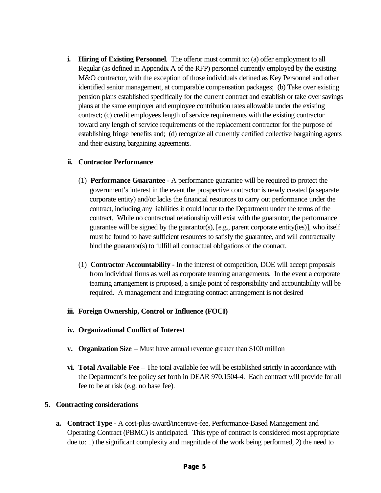**i. Hiring of Existing Personnel**. The offeror must commit to: (a) offer employment to all Regular (as defined in Appendix A of the RFP) personnel currently employed by the existing M&O contractor, with the exception of those individuals defined as Key Personnel and other identified senior management, at comparable compensation packages; (b) Take over existing pension plans established specifically for the current contract and establish or take over savings plans at the same employer and employee contribution rates allowable under the existing contract; (c) credit employees length of service requirements with the existing contractor toward any length of service requirements of the replacement contractor for the purpose of establishing fringe benefits and; (d) recognize all currently certified collective bargaining agents and their existing bargaining agreements.

#### **ii. Contractor Performance**

- (1) **Performance Guarantee** A performance guarantee will be required to protect the government's interest in the event the prospective contractor is newly created (a separate corporate entity) and/or lacks the financial resources to carry out performance under the contract, including any liabilities it could incur to the Department under the terms of the contract. While no contractual relationship will exist with the guarantor, the performance guarantee will be signed by the guarantor(s), [e.g., parent corporate entity(ies)], who itself must be found to have sufficient resources to satisfy the guarantee, and will contractually bind the guarantor(s) to fulfill all contractual obligations of the contract.
- (1) **Contractor Accountability -** In the interest of competition, DOE will accept proposals from individual firms as well as corporate teaming arrangements. In the event a corporate teaming arrangement is proposed, a single point of responsibility and accountability will be required. A management and integrating contract arrangement is not desired

## **iii. Foreign Ownership, Control or Influence (FOCI)**

- **iv. Organizational Conflict of Interest**
- **v. Organization Size** Must have annual revenue greater than \$100 million
- **vi. Total Available Fee** The total available fee will be established strictly in accordance with the Department's fee policy set forth in DEAR 970.1504-4. Each contract will provide for all fee to be at risk (e.g. no base fee).

## **5. Contracting considerations**

**a. Contract Type -** A cost-plus-award/incentive-fee, Performance-Based Management and Operating Contract (PBMC) is anticipated. This type of contract is considered most appropriate due to: 1) the significant complexity and magnitude of the work being performed, 2) the need to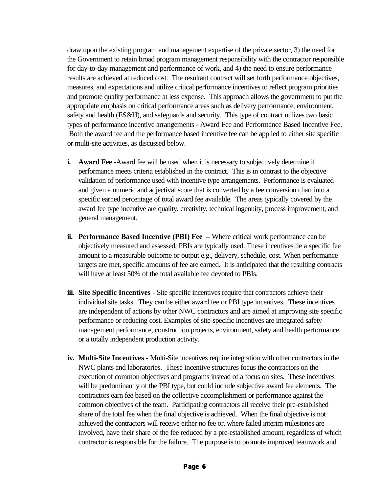draw upon the existing program and management expertise of the private sector, 3) the need for the Government to retain broad program management responsibility with the contractor responsible for day-to-day management and performance of work, and 4) the need to ensure performance results are achieved at reduced cost. The resultant contract will set forth performance objectives, measures, and expectations and utilize critical performance incentives to reflect program priorities and promote quality performance at less expense. This approach allows the government to put the appropriate emphasis on critical performance areas such as delivery performance, environment, safety and health (ES&H), and safeguards and security. This type of contract utilizes two basic types of performance incentive arrangements - Award Fee and Performance Based Incentive Fee. Both the award fee and the performance based incentive fee can be applied to either site specific or multi-site activities, as discussed below.

- **i. Award Fee** -Award fee will be used when it is necessary to subjectively determine if performance meets criteria established in the contract. This is in contrast to the objective validation of performance used with incentive type arrangements. Performance is evaluated and given a numeric and adjectival score that is converted by a fee conversion chart into a specific earned percentage of total award fee available. The areas typically covered by the award fee type incentive are quality, creativity, technical ingenuity, process improvement, and general management.
- **ii. Performance Based Incentive (PBI) Fee** Where critical work performance can be objectively measured and assessed, PBIs are typically used. These incentives tie a specific fee amount to a measurable outcome or output e.g., delivery, schedule, cost. When performance targets are met, specific amounts of fee are earned. It is anticipated that the resulting contracts will have at least 50% of the total available fee devoted to PBIs.
- **iii. Site Specific Incentives** Site specific incentives require that contractors achieve their individual site tasks. They can be either award fee or PBI type incentives. These incentives are independent of actions by other NWC contractors and are aimed at improving site specific performance or reducing cost. Examples of site-specific incentives are integrated safety management performance, construction projects, environment, safety and health performance, or a totally independent production activity.
- **iv. Multi-Site Incentives** Multi-Site incentives require integration with other contractors in the NWC plants and laboratories. These incentive structures focus the contractors on the execution of common objectives and programs instead of a focus on sites. These incentives will be predominantly of the PBI type, but could include subjective award fee elements. The contractors earn fee based on the collective accomplishment or performance against the common objectives of the team. Participating contractors all receive their pre-established share of the total fee when the final objective is achieved. When the final objective is not achieved the contractors will receive either no fee or, where failed interim milestones are involved, have their share of the fee reduced by a pre-established amount, regardless of which contractor is responsible for the failure. The purpose is to promote improved teamwork and